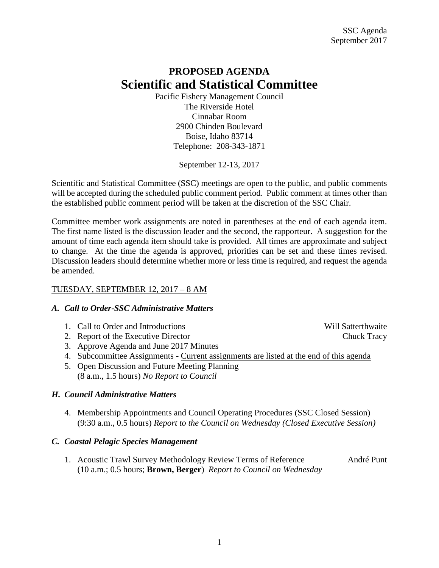## **PROPOSED AGENDA Scientific and Statistical Committee**

Pacific Fishery Management Council The Riverside Hotel Cinnabar Room 2900 Chinden Boulevard Boise, Idaho 83714 Telephone: 208-343-1871

September 12-13, 2017

Scientific and Statistical Committee (SSC) meetings are open to the public, and public comments will be accepted during the scheduled public comment period. Public comment at times other than the established public comment period will be taken at the discretion of the SSC Chair.

Committee member work assignments are noted in parentheses at the end of each agenda item. The first name listed is the discussion leader and the second, the rapporteur. A suggestion for the amount of time each agenda item should take is provided. All times are approximate and subject to change. At the time the agenda is approved, priorities can be set and these times revised. Discussion leaders should determine whether more or less time is required, and request the agenda be amended.

## TUESDAY, SEPTEMBER 12, 2017 – 8 AM

## *A. Call to Order-SSC Administrative Matters*

- 1. Call to Order and Introductions and Will Satterthwaite
- 2. Report of the Executive Director Chuck Tracy
- 3. Approve Agenda and June 2017 Minutes
- 4. Subcommittee Assignments Current assignments are listed at the end of this agenda
- 5. Open Discussion and Future Meeting Planning (8 a.m., 1.5 hours) *No Report to Council*

## *H. Council Administrative Matters*

4. Membership Appointments and Council Operating Procedures (SSC Closed Session) (9:30 a.m., 0.5 hours) *Report to the Council on Wednesday (Closed Executive Session)*

## *C. Coastal Pelagic Species Management*

1. Acoustic Trawl Survey Methodology Review Terms of Reference André Punt (10 a.m.; 0.5 hours; **Brown, Berger**) *Report to Council on Wednesday*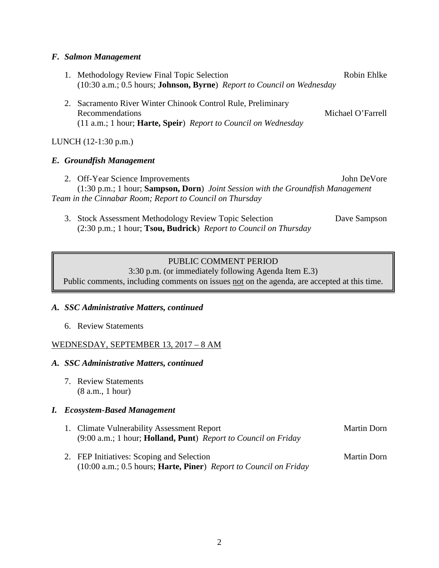#### *F. Salmon Management*

- 1. Methodology Review Final Topic Selection **Robin Enlistic Robin Enlike** (10:30 a.m.; 0.5 hours; **Johnson, Byrne**) *Report to Council on Wednesday*
- 2. Sacramento River Winter Chinook Control Rule, Preliminary Recommendations and the set of the set of the Michael O'Farrell (11 a.m.; 1 hour; **Harte, Speir**) *Report to Council on Wednesday*

## LUNCH (12-1:30 p.m.)

#### *E. Groundfish Management*

- 2. Off-Year Science Improvements John DeVore (1:30 p.m.; 1 hour; **Sampson, Dorn**) *Joint Session with the Groundfish Management Team in the Cinnabar Room; Report to Council on Thursday*
	- 3. Stock Assessment Methodology Review Topic Selection Dave Sampson (2:30 p.m.; 1 hour; **Tsou, Budrick**) *Report to Council on Thursday*

## PUBLIC COMMENT PERIOD

3:30 p.m. (or immediately following Agenda Item E.3) Public comments, including comments on issues not on the agenda, are accepted at this time.

#### *A. SSC Administrative Matters, continued*

6. Review Statements

#### WEDNESDAY, SEPTEMBER 13, 2017 – 8 AM

#### *A. SSC Administrative Matters, continued*

7. Review Statements (8 a.m., 1 hour)

#### *I. Ecosystem-Based Management*

- 1. Climate Vulnerability Assessment Report Martin Dorn (9:00 a.m.; 1 hour; **Holland, Punt**) *Report to Council on Friday*
- 2. FEP Initiatives: Scoping and Selection Martin Dorn (10:00 a.m.; 0.5 hours; **Harte, Piner**) *Report to Council on Friday*